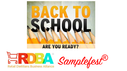

### **ARE YOU READY?**

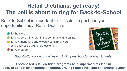# **Retail Dietitians, get ready! The bell is about to ring for Back-to-School**

Back-to-School is important for its sales impact and your opportunities as a Retail Dietitian:

To the store.

To shoppers – in-store, in the community and online.

To how managers and executives think of you as a business-building professional.

To your career.



*Back-to-School opportunities exist with preschool to college students.*

**Food-based retail dietitian programs help supermarkets lead in back-to-school by engaging shoppers, driving repeat trips and enhancing loyalty.**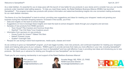As a retail dietitian, it's essential for you to keep pace with the launch of new better-for-you products in your stores and to consider how you can bundle products under important retail selling seasons. To help you meet these needs, the Retail Dietitians Business Alliance (RDBA) has launched Samplefest®. This program bundles new products with product information and sales/merchandising insights into one convenient mailing exclusively for our retail dietitian members.

The theme of our first Samplefest® is back-to-school, providing new suggestions and ideas for meeting your shoppers' needs and growing your business during this important shopping seasons. Enclosed in this bundle, you'll find:

- Data and insights on the back-to-school shopper
- Suggestions on how to leverage these insights and meet the back-to-school shoppers' needs through your programs and services
- Samples of new products from RDBA sponsors
	- Town House® Pita Crackers and Hummus Snack Box
	- StarKist<sup>®</sup> Thai Chili Style Tuna Creations pouch
- Information from sponsors on new products
	- House Foods Go Umami™ Baked Tofu Bars
	- Naked® Pressed Juices
	- Quaker® Overnight Oats
- Recipes for use during in-store food experiences, media spots, classes and more!

As we continue to grow our Samplefest<sup>®</sup> program, you'll see bigger bundles, more new products, and continued inspiration for meeting your shoppers' needs and helping sales grow at your company. RDBA's goal is to provide services that make you more effective in your role, including Samplefest<sup>®</sup>. In two weeks, you'll receive a survey asking your input on Samplefest<sup>®</sup> and how well effective it was in providing new ideas and introducing you to new products. We thank you in advance for sharing your thoughts on how Samplefest® can be improved.

Thank you for your ongoing membership in and support of the Retail Dietitians Business Alliance!





Phil Lempert **Annette Maggi, MS, RDN, LD, FAND** President & CEO RDBA Executive Director phil@retaildietitians.com Annette@retaildietitians.com

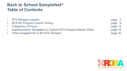### **Back to School Samplefest® Table of Contents**

| $\bullet$ | <b>BTS Shopper Insights</b>                                   | page 5  |  |
|-----------|---------------------------------------------------------------|---------|--|
|           | • BTS RD Program Launch Timing                                | page 9  |  |
|           | • Categories of Focus                                         | page 14 |  |
|           | Implementation Strategies to Capture BTS Shopper Market Share | page 16 |  |
|           | • Video Engagement of the BTS Shopper                         | page 30 |  |
|           |                                                               |         |  |

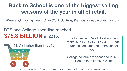### **Back to School is one of the biggest selling seasons of the year in all of retail.**

*Wide-ranging family needs drive Stock Up Trips, the most valuable ones for stores.*

### BTS and College spending reached **\$75.8 BILLION** in 2016.



The big impact Retail Dietitians can make is in FOOD CATEGORIES that students consume the entire school year.

College consumers spent about \$5.8 billion on food items in 2016.

Source: National Retail Federation's annual survey, conducted by Prosper Insights and Analytics, 2016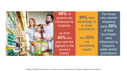

**48%** of parents are influenced by coupons, up from

**43%** last year and the highest in the survey's history

**39%** take advantage of in-store promotions and **33%**  use advertising inserts

For those who started shopping early **50%**  of their purchases were influenced by coupons, sales and/or promotions

National Retail Federation's annual survey conducted by Prosper Insights and Analytics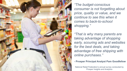

*"The budget-conscious consumer is not forgetting about price, quality or value, and we continue to see this when it comes to back-to-school shopping."* 

*"That is why many parents are taking advantage of shopping early, scouring ads and websites for the best deals, and taking advantage of free shipping with online purchases."* 

#### **- Prosper Principal Analyst Pam Goodfellow**

National Retail Federation's annual survey conducted by Prosper Insights and Analytics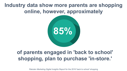### **Industry data show more parents are shopping online, however, approximately**



### **of parents engaged in 'back to school' shopping, plan to purchase 'in-store.'**

*Rakuten Marketing Digital Insights Report* for the 2016 'back to school' shopping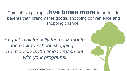Competitive pricing is **five times more** important to parents than brand name goods, shopping convenience and shopping channel.

*August is historically the peak month for 'back-to-school' shopping… So mid-July is the time to reach out with your programs!*

*Rakuten Marketing Digital Insights Report* for the 2016 'back to school' shopping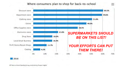### Where consumers plan to shop for back-to-school



2016

VRF Back to School Spending Survey, conducted by Prosper Insights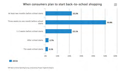

#### NRF Back-to-School Spending Survey, conducted by Prosper Insights & Analytics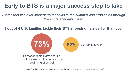# **Early to BTS is a major success step to take**

*Stores that win over student households in the summer can reap sales through the entire academic year.* 

**3 out of 4 U.S. families tackle their BTS shopping lists earlier than ever**



National Retail Federation's annual survey, conducted by Prosper Insights and Analytics, 2016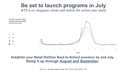### **Be set to launch programs in July**

*BTS is on shoppers' minds well before the school year starts* 



### **Establish your Retail Dietitian Back-to-School presence by mid-July. Ramp it up through August and September.**

Source: Google search data Jan. 2013-July 2016, U.S.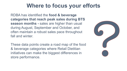# **Where to focus your efforts**

RDBA has identified the **food & beverage categories that reach peak sales during BTS season months -** sales are higher than usual during August, September and October, and often maintain a robust sales pace throughout fall and winter.

These data points create a road map of the food & beverage categories where Retail Dietitian initiatives can make the biggest differences in store performance.

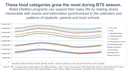### **These food categories grow the most during BTS season.** *Retail Dietitian programs can support their sales lifts by making stores memorable with events and information synchronized to the calendars and patterns of students, parents and local schools.*



Source: IRI, a Chicago-based market research firm (@iriworldwide). Latest 13 quad-week periods, Retail Sales Data, Total U.S. Multi-Outlet with C-Store (Supermarket, Drug Stores, Mass Market Retailers, Gas/C-Stores, Military Commissaries, and Select Club & Dollar Retail Chains).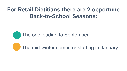### **For Retail Dietitians there are 2 opportune Back-to-School Seasons:**



The mid-winter semester starting in January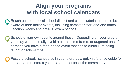# **Align your programs with local school calendars**

- Reach out to the local school district and school administrators to be aware of their major events, including semester start and end dates, vacation weeks and breaks, exam periods.
- Schedule your own events around these. Depending on your program, you may want to totally avoid a certain time frame, or augment one, if perhaps you have a food-based event that ties to curriculum being taught or school trips.
- Post the schools' schedules in your store as a quick reference guide for parents and reinforce you are at the center of the community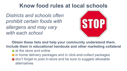### **Know food rules at local schools**

*Districts and schools often prohibit certain foods with allergens and may vary with each school* 



**Obtain these lists and help your community understand them. Include them in educational handouts and other marketing collateral** 

- **•** at the store and online
- **•** in home delivery packages and in click-and-collect packages
- don't forget to post in-store and be sure to suggest allowable alternatives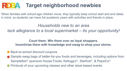

# **Target neighborhood newbies**

When families with school-age children move, they typically keep school start and end dates in mind, so students can have full academic years with activities and friends in place.

### *Households new to an area*

*lack allegiance to a local supermarket – its your opportunity!* 

### **Court them. Win them over as loyal shoppers. Incentivize them with knowledge and swag to shop your stores.**

- Back-to-school discount coupons
- Sample swag bags of better-for-you foods and beverages, including options from Samplefest® sponsors House Foods, Kellogg's®, StarKist®, & PepsiCo®
- Printouts of your upcoming classes and other store-based events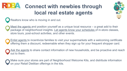

# **Connect with newbies through local real estate agents**



Realtors know who is moving in and out.

Meet the agents and position yourself as a unique local resource – a great add to their package of neighborhood insights. Let agents know your schedules of in-store classes, store tours, post-school activities, and other events.

Enlist agents to incentivize families to visit your supermarkets with a welcoming certificate offering them a discount, redeemable when they sign up for your frequent shopper card.

Ask the agents to share contact information of new households, and be proactive and reach out to them.

Make sure your stores are part of Neighborhood Welcome Kits, and distribute information on your Retail Dietitian offerings in the kits.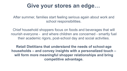### **Give your stores an edge…**

After summer, families start feeling serious again about work and school responsibilities.

Chief household shoppers focus on foods and beverages that will nourish everyone - and where children are concerned - smartly fuel their academic rigors, post-school day and social activities.

**Retail Dietitians that understand the needs of school-age households – and convey insights with a personalized touch – will form more meaningful shopper relationships and bring competitive advantage.**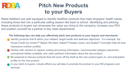

### **Pitch New Products to your Buyers**

Retail dietitians are well equipped to identify healthier products that meet shoppers' health needs, including those tied into a particular selling season like back to school. Identifying and pitching these products to buyers can showcase the value you bring to the company, increase your ROI, and position yourself as a partner to key retail departments.

#### *The following tips can help you effectively pitch new products to your buyers and merchants:*

- Identify products that fit within your retailers' target health and wellness objectives. For example, the House Foods Go Umami™ Baked Tofu Bars, Naked® Pressed Juices, and Quaker® Overnight Oats all have impressive nutrition profiles.
- Partner with vendors to capture costing and pricing information, recommended category placement, promotional dollars available, and other pertinent information about the new product.
- Be prepared to discuss products that will come off the shelf as the new product goes on, and anticipated profits on the new product.
- In your pitch to buyers, include efforts you will take to promote the product in your RD programs and services.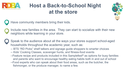

# **Host a Back-to-School Night at the store**



Have community members bring their kids.

Include new families in the area. They can start to socialize with their new neighbors while learning in your store.

Speak to the audience about all the ways your stores support school-aged households throughout the academic year, such as:

- -- BTS "RD Picks" shelf talkers and signage guide shoppers to smarter choices
- -- Kids' Cooking Classes, scavenger hunts, and fitness-food events
- --Feature recipe and products included in this Samplefest® as options for busy families and parents who want to encourage healthy eating habits both in and out of school
- --Food experts who can speak about their food areas, such as the butcher, the fishmonger, or the produce manager, to name a few.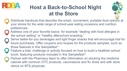

# **Host a Back-to-School Night at the Store**



- Distribute handouts that describe the smart, convenient, portable food options at your stores for the wide range of school-year eating occasions and nutrition preferences.
- Address one of your favorite topics: for example "dealing with food allergies in the school setting" or "healthy afterschool snacking."
- Serve better-for-you beverages and light finger snacks that will encourage trial for future purchases. Offer coupons and recipes for the products sampled, such as those featured in this Samplefest®.
	- Feature a kids' challenge or activity focused on how to build a healthier school lunch, featuring products included in this Samplefest®.
- Partner with the Pharmacy team to offer information on stocking the medicine cabinet with common OTC products, vaccinations and flu shots and with store clinics on BTS physicals.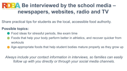

Share practical tips for students as the local, accessible food authority.

### **Possible topics:**

- Food ideas for stressful periods, like exam time
- Foods that help your body perform better in athletics, and recover quicker from workouts
- Age-appropriate foods that help student bodies mature properly as they grow up

*Always include your contact information in interviews, so families can easily follow up with you directly or through your social media channels.*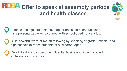

In these settings, students have opportunities to pose questions. It's a personalized way to connect with school-aged households.

Build powerful word-of-mouth following by speaking at grade-, middle- and high schools to reach students at all different ages.

Retail Dietitians can become influential business-building goodwill ambassadors for stores.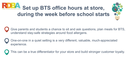



Give parents and students a chance to sit and ask questions, plan meals for BTS, understand stay-safe strategies around food allergens.

One-on-one in a quiet setting is a very different, valuable, much-appreciated experience.

This can be a true differentiator for your store and build stronger customer loyalty.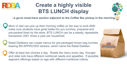

# **Create a highly visible BTS LUNCH display**



**–a go-to must-have section adjacent to the Coffee Bar pickup in the morning** 

- Mom or dad can pick up their morning coffee on the way to work AND make sure students have great better-for-you lunches, prepared and pre-packed fresh by the store. BTS LUNCH can be a steady, repeatable transaction 200+ times a year per household.
- Retail Dietitians can create menus for pre-packaged brown bag lunches bearing RD APPROVED stickers, which name the Retail Dietitian.
- Offer at least two choices a day. Rotate the menu every day. Younger and older kids have different nutritional needs and appetites. If possible, segment offerings based on age with different nutritional criteria.

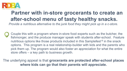

# **Partner with in-store grocerants to create an after-school menu of tasty healthy snacks.**

*Provide a nutritious alternative to the junk food they might pick up in a c-store.* 

Couple this with a program where in-store food experts such as the butcher, the fishmonger, and the produce manager speak with students after-school. Feature nutritious options like those products included in this Samplefest<sup>®</sup> in the snack options. This program is a real relationship-builder with kids and the parents who pick them up. The program would also foster an appreciation for what the entire store offers – a key path to business growth.

The underlying appeal is that **grocerants are protected after-school places where kids can go that their parents will appreciate.**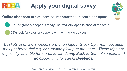

# **Apply your digital savvy**

### **Online shoppers are at least as important as in-store shoppers.**

53% of grocery shoppers today use retailers' apps to shop at the store

59% look for sales or coupons on their mobile devices.

*Baskets of online shoppers are often bigger Stock Up Trips - because they get home delivery or curbside pickup at the store. These trips are especially valuable for stores to win during Back-to-School season, and an opportunity for Retail Dietitians.* 

Source: The Digitally Engaged Food Shopper, FMI/Nielsen, January 2017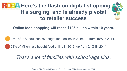# **RDBA** Here's the flash on digital shopping. **It's surging, and is already pivotal to retailer success**

**Online food shopping will reach \$103 billion within 10 years.** 

23% of U.S. households bought food online in 2016, up from 19% in 2014.

28% of Millennials bought food online in 2016, up from 21% IN 2014.

### *That's a lot of families with school-age kids.*

Source: The Digitally Engaged Food Shopper, FMI/Nielsen, January 2017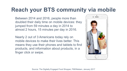# **Reach your BTS community via mobile**

Between 2014 and 2016, people more than doubled their daily time on mobile devices: they jumped from 59 minutes a day in 2014 to almost 2 hours, 15 minutes per day in 2016.

Nearly 2 out of 3 Americans today rely on mobile devices to make their lives better. This means they use their phones and tablets to find products, and information about products, in a finger click or swipe.



Source: The Digitally Engaged Food Shopper, FMI/Nielsen, January 2017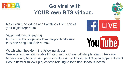

# **Go viral with YOUR own BTS videos.**

Make YouTube videos and Facebook LIVE part of your digital repertoire.

Video watching is soaring. Moms of school-age kids love the practical ideas they can bring into their homes.

Watch what they do in the following videos.

See what you're comfortable bringing into your own digital platform to become better known, be seen as approachable, and be trusted and chosen by parents and kids to answer follow-up questions relating to food and school success.



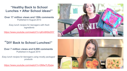**"Healthy Back to School Lunches + After School ideas!"** 

**Over 17 million views and 150k comments**  Published in August 2013

*Easy lunch recipes for teenagers with fresh ingredients* 

https://www.youtube.com/watch?v=qKIv6K8oD5Y



### **"DIY Back to School Lunches!"**

**Over 7 million views and 6,000 comments**  Published in August 2014

*Easy lunch recipes for teenagers using mostly packaged products* 

https://www.youtube.com/watch?v=0lMw7LfQqlw

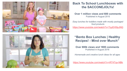



### **Back To School Lunchboxes with the SACCONEJOLYs!**

#### **Over 1 million views and 600 comments**  Published in August 2015

*Easy lunches for toddlers made with mostly packaged food products*  https://www.youtube.com/watch?v=TqyEH5lpJNQ

### **"Bento Box Lunches | Healthy Recipes! - Mind over Munch"**

**Over 800k views and 1800 comments**  Published in August 2016

*Homemade and creative lunch ideas for all ages* 

https://www.youtube.com/watch?v=rRT4Tqx-NBk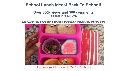### **School Lunch Ideas! Back To School!**

### **Over 600k views and 500 comments**

Published in August 2016

*Easy lunch ideas with both packaged and fresh ingredients for preschoolers* 



https://www.youtube.com/watch?v=ZceZYQfNmqw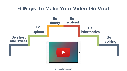### **6 Ways To Make Your Video Go Viral**



Source: forbes.com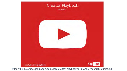

https://think.storage.googleapis.com/docs/creator-playbook-for-brands\_research-studies.pdf